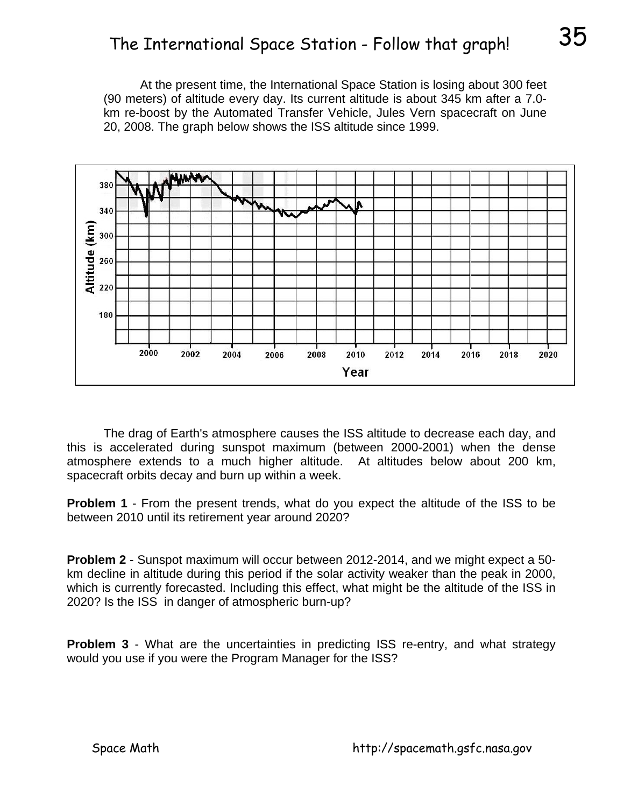## The International Space Station - Follow that graph!  $35$

 At the present time, the International Space Station is losing about 300 feet (90 meters) of altitude every day. Its current altitude is about 345 km after a 7.0 km re-boost by the Automated Transfer Vehicle, Jules Vern spacecraft on June 20, 2008. The graph below shows the ISS altitude since 1999.



 The drag of Earth's atmosphere causes the ISS altitude to decrease each day, and this is accelerated during sunspot maximum (between 2000-2001) when the dense atmosphere extends to a much higher altitude. At altitudes below about 200 km, spacecraft orbits decay and burn up within a week.

**Problem 1** - From the present trends, what do you expect the altitude of the ISS to be between 2010 until its retirement year around 2020?

**Problem 2** - Sunspot maximum will occur between 2012-2014, and we might expect a 50 km decline in altitude during this period if the solar activity weaker than the peak in 2000, which is currently forecasted. Including this effect, what might be the altitude of the ISS in 2020? Is the ISS in danger of atmospheric burn-up?

**Problem 3** - What are the uncertainties in predicting ISS re-entry, and what strategy would you use if you were the Program Manager for the ISS?